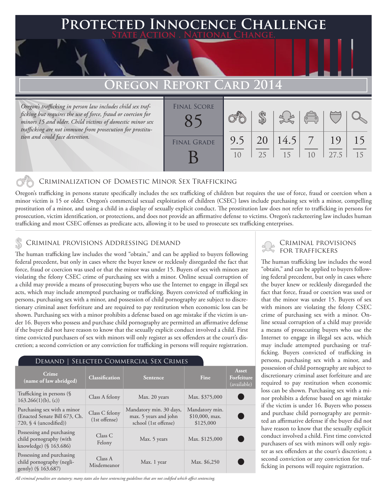### **PTED INNOCENCE CHALLENGE State Action . National Change.**

## **OREGON REPORT CARD**

*Oregon's trafficking in person law includes child sex trafficking but requires the use of force, fraud or coercion for minors 15 and older. Child victims of domestic minor sex trafficking are not immune from prosecution for prostitution and could face detention.*

| <b>FINAL SCORE</b> |     |    |      |                                                |      |    |
|--------------------|-----|----|------|------------------------------------------------|------|----|
|                    |     |    |      | $\begin{pmatrix} 0 & 0 \\ 0 & 0 \end{pmatrix}$ |      |    |
|                    |     |    |      |                                                |      |    |
| <b>FINAL GRADE</b> | 9.5 | 20 | 14.5 |                                                | 19   |    |
|                    | 10  | 25 | 15   | 1 <sub>0</sub>                                 | 27.5 | 15 |
|                    |     |    |      |                                                |      |    |

#### Criminalization of Domestic Minor Sex Trafficking

Oregon's trafficking in persons statute specifically includes the sex trafficking of children but requires the use of force, fraud or coercion when a minor victim is 15 or older. Oregon's commercial sexual exploitation of children (CSEC) laws include purchasing sex with a minor, compelling prostitution of a minor, and using a child in a display of sexually explicit conduct. The prostitution law does not refer to trafficking in persons for prosecution, victim identification, or protections, and does not provide an affirmative defense to victims. Oregon's racketeering law includes human trafficking and most CSEC offenses as predicate acts, allowing it to be used to prosecute sex trafficking enterprises.

## CRIMINAL PROVISIONS ADDRESSING DEMAND<br>A FOR TRAFFICKERS TO A LIMINAL PROVISIONS ADDRESSING DEMAND

The human trafficking law includes the word "obtain," and can be applied to buyers following federal precedent, but only in cases where the buyer knew or recklessly disregarded the fact that force, fraud or coercion was used or that the minor was under 15. Buyers of sex with minors are violating the felony CSEC crime of purchasing sex with a minor. Online sexual corruption of a child may provide a means of prosecuting buyers who use the Internet to engage in illegal sex acts, which may include attempted purchasing or trafficking. Buyers convicted of trafficking in persons, purchasing sex with a minor, and possession of child pornography are subject to discretionary criminal asset forfeiture and are required to pay restitution when economic loss can be shown. Purchasing sex with a minor prohibits a defense based on age mistake if the victim is under 16. Buyers who possess and purchase child pornography are permitted an affirmative defense if the buyer did not have reason to know that the sexually explicit conduct involved a child. First time convicted purchasers of sex with minors will only register as sex offenders at the court's discretion; a second conviction or any conviction for trafficking in persons will require registration.

#### Demand | Selected Commercial Sex Crimes

| Crime<br>(name of law abridged)                                                                    | <b>Classification</b>           | <b>Sentence</b>                                                          | Fine                                            | Asset<br>Forfeiture<br>(available) |
|----------------------------------------------------------------------------------------------------|---------------------------------|--------------------------------------------------------------------------|-------------------------------------------------|------------------------------------|
| Trafficking in persons (§<br>$163.266(1)(b)$ , (c))                                                | Class A felony                  | Max. 20 years                                                            | Max. \$375,000                                  |                                    |
| Purchasing sex with a minor<br>(Enacted Senate Bill 673, Ch.<br>$720,$ $\frac{6}{4}$ (uncodified)) | Class C felony<br>(1st offense) | Mandatory min. 30 days,<br>max. 5 years and john<br>school (1st offense) | Mandatory min.<br>$$10,000$ , max.<br>\$125,000 |                                    |
| Possessing and purchasing<br>child pornography (with<br>knowledge) (§ 163.686)                     | Class C<br>Felony               | Max. 5 years                                                             | Max. \$125,000                                  |                                    |
| Possessing and purchasing<br>child pornography (negli-<br>gently) (§ 163.687)                      | Class A<br>Misdemeanor          | Max. 1 year                                                              | Max. \$6,250                                    |                                    |

*All criminal penalties are statutory; many states also have sentencing guidelines that are not codified which affect sentencing.* 

# Criminal provisions

The human trafficking law includes the word "obtain," and can be applied to buyers following federal precedent, but only in cases where the buyer knew or recklessly disregarded the fact that force, fraud or coercion was used or that the minor was under 15. Buyers of sex with minors are violating the felony CSEC crime of purchasing sex with a minor. Online sexual corruption of a child may provide a means of prosecuting buyers who use the Internet to engage in illegal sex acts, which may include attempted purchasing or trafficking. Buyers convicted of trafficking in persons, purchasing sex with a minor, and possession of child pornography are subject to discretionary criminal asset forfeiture and are required to pay restitution when economic loss can be shown. Purchasing sex with a minor prohibits a defense based on age mistake if the victim is under 16. Buyers who possess and purchase child pornography are permitted an affirmative defense if the buyer did not have reason to know that the sexually explicit conduct involved a child. First time convicted purchasers of sex with minors will only register as sex offenders at the court's discretion; a second conviction or any conviction for trafficking in persons will require registration.